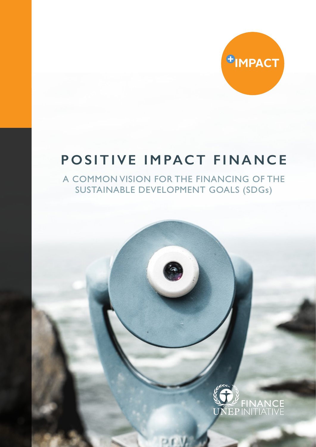

# **POSITIVE IMPACT FINANCE**

A COMMON VISION FOR THE FINANCING OF THE SUSTAINABLE DEVELOPMENT GOALS (SDGs)

PEW

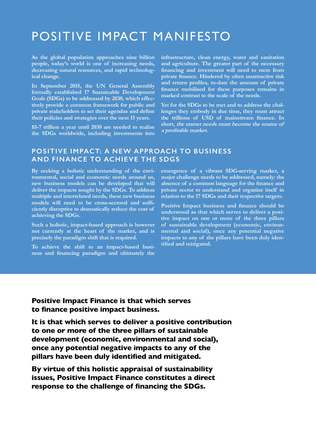## POSITIVE IMPACT MANIFESTO

**As the global population approaches nine billion people, today's world is one of increasing needs, decreasing natural resources, and rapid technological change.**

**In September 2015, the UN General Assembly formally established 17 Sustainable Development Goals (SDGs) to be addressed by 2030, which effectively provide a common framework for public and private stakeholders to set their agendas and define their policies and strategies over the next 15 years.** 

**\$5-7 trillion a year until 2030 are needed to realise the SDGs worldwide, including investments into** 

**infrastructure, clean energy, water and sanitation and agriculture. The greater part of the necessary financing and investment will need to stem from private finance. Hindered by often unattractive risk and return profiles, to-date the amount of private finance mobilised for these purposes remains in marked contrast to the scale of the needs.** 

**Yet for the SDGs to be met and to address the challenges they embody in due time, they must attract the trillions of USD of mainstream finance. In short, the unmet needs must become the source of a profitable market.**

## **POSITIVE IMPACT: A NEW APPROACH TO BUSINESS AND FINANCE TO ACHIEVE THE SDGS**

**By seeking a holistic understanding of the environmental, social and economic needs around us, new business models can be developed that will deliver the impacts sought by the SDGs. To address multiple and interrelated needs, these new business models will need to be cross-sectoral and sufficiently disruptive to dramatically reduce the cost of achieving the SDGs.**

**Such a holistic, impact-based approach is however not currently at the heart of the market, and is precisely the paradigm shift that is required.**

**To achieve the shift to an impact-based business and financing paradigm and ultimately the**  **emergence of a vibrant SDG-serving market, a major challenge needs to be addressed, namely: the absence of a common language for the finance and private sector to understand and organize itself in relation to the 17 SDGs and their respective targets.**

**Positive Impact business and finance should be understood as that which serves to deliver a positive impact on one or more of the three pillars of sustainable development (economic, environmental and social), once any potential negative impacts to any of the pillars have been duly identified and mitigated.** 

**Positive Impact Finance is that which serves to finance positive impact business.**

**It is that which serves to deliver a positive contribution to one or more of the three pillars of sustainable development (economic, environmental and social), once any potential negative impacts to any of the pillars have been duly identified and mitigated.**

**By virtue of this holistic appraisal of sustainability issues, Positive Impact Finance constitutes a direct response to the challenge of financing the SDGs.**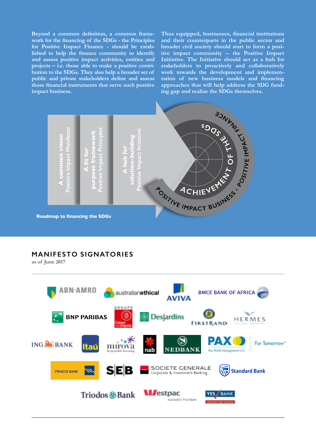**Beyond a common definition, a common framework for the financing of the SDGs - the Principles for Positive Impact Finance - should be established to help the finance community to identify and assess positive impact activities, entities and projects – i.e. those able to make a positive contribution to the SDGs. They also help a broader set of public and private stakeholders define and assess those financial instruments that serve such positive impact business.**

**Thus equipped, businesses, financial institutions and their counterparts in the public sector and broader civil society should start to form a positive impact community -- the Positive Impact Initiative. The Initiative should act as a hub for stakeholders to proactively and collaboratively work towards the development and implementation of new business models and financing approaches that will help address the SDG funding gap and realize the SDGs themselves.**



## **MANIFESTO SIGNATORIES**

**as of June 2017**